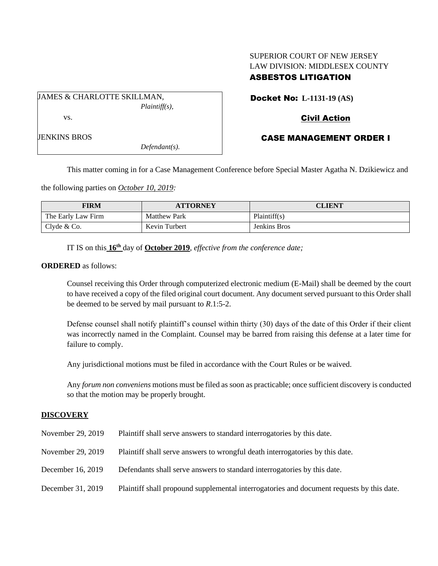# SUPERIOR COURT OF NEW JERSEY LAW DIVISION: MIDDLESEX COUNTY ASBESTOS LITIGATION

JAMES & CHARLOTTE SKILLMAN, *Plaintiff(s),* vs.

JENKINS BROS

*Defendant(s).*

Docket No: **L-1131-19 (AS)**

# Civil Action

# CASE MANAGEMENT ORDER I

This matter coming in for a Case Management Conference before Special Master Agatha N. Dzikiewicz and

the following parties on *October 10, 2019:*

| FIRM               | <b>ATTORNEY</b>     | CLIENT       |
|--------------------|---------------------|--------------|
| The Early Law Firm | <b>Matthew Park</b> | Plaintiff(s) |
| Clyde & Co.        | Kevin Turbert       | Jenkins Bros |

IT IS on this **16th** day of **October 2019**, *effective from the conference date;*

## **ORDERED** as follows:

Counsel receiving this Order through computerized electronic medium (E-Mail) shall be deemed by the court to have received a copy of the filed original court document. Any document served pursuant to this Order shall be deemed to be served by mail pursuant to *R*.1:5-2.

Defense counsel shall notify plaintiff's counsel within thirty (30) days of the date of this Order if their client was incorrectly named in the Complaint. Counsel may be barred from raising this defense at a later time for failure to comply.

Any jurisdictional motions must be filed in accordance with the Court Rules or be waived.

Any *forum non conveniens* motions must be filed as soon as practicable; once sufficient discovery is conducted so that the motion may be properly brought.

## **DISCOVERY**

| November 29, 2019 | Plaintiff shall serve answers to standard interrogatories by this date.                   |
|-------------------|-------------------------------------------------------------------------------------------|
| November 29, 2019 | Plaintiff shall serve answers to wrongful death interrogatories by this date.             |
| December 16, 2019 | Defendants shall serve answers to standard interrogatories by this date.                  |
| December 31, 2019 | Plaintiff shall propound supplemental interrogatories and document requests by this date. |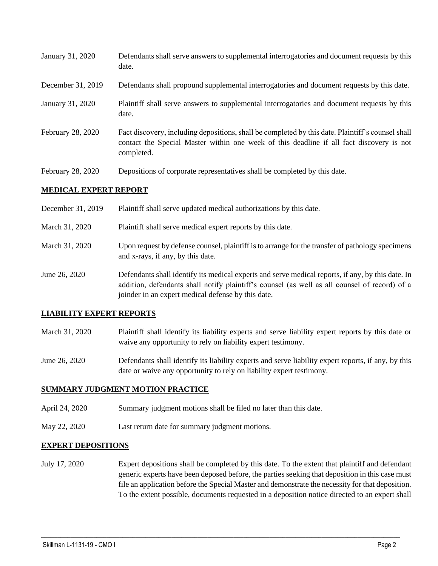| January 31, 2020 | Defendants shall serve answers to supplemental interrogatories and document requests by this |
|------------------|----------------------------------------------------------------------------------------------|
|                  | date.                                                                                        |

- December 31, 2019 Defendants shall propound supplemental interrogatories and document requests by this date.
- January 31, 2020 Plaintiff shall serve answers to supplemental interrogatories and document requests by this date.
- February 28, 2020 Fact discovery, including depositions, shall be completed by this date. Plaintiff's counsel shall contact the Special Master within one week of this deadline if all fact discovery is not completed.
- February 28, 2020 Depositions of corporate representatives shall be completed by this date.

## **MEDICAL EXPERT REPORT**

| December 31, 2019 | Plaintiff shall serve updated medical authorizations by this date.                                                                                                                                                                                       |
|-------------------|----------------------------------------------------------------------------------------------------------------------------------------------------------------------------------------------------------------------------------------------------------|
| March 31, 2020    | Plaintiff shall serve medical expert reports by this date.                                                                                                                                                                                               |
| March 31, 2020    | Upon request by defense counsel, plaintiff is to arrange for the transfer of pathology specimens<br>and x-rays, if any, by this date.                                                                                                                    |
| June 26, 2020     | Defendants shall identify its medical experts and serve medical reports, if any, by this date. In<br>addition, defendants shall notify plaintiff's counsel (as well as all counsel of record) of a<br>joinder in an expert medical defense by this date. |

## **LIABILITY EXPERT REPORTS**

- March 31, 2020 Plaintiff shall identify its liability experts and serve liability expert reports by this date or waive any opportunity to rely on liability expert testimony.
- June 26, 2020 Defendants shall identify its liability experts and serve liability expert reports, if any, by this date or waive any opportunity to rely on liability expert testimony.

## **SUMMARY JUDGMENT MOTION PRACTICE**

- April 24, 2020 Summary judgment motions shall be filed no later than this date.
- May 22, 2020 Last return date for summary judgment motions.

#### **EXPERT DEPOSITIONS**

July 17, 2020 Expert depositions shall be completed by this date. To the extent that plaintiff and defendant generic experts have been deposed before, the parties seeking that deposition in this case must file an application before the Special Master and demonstrate the necessity for that deposition. To the extent possible, documents requested in a deposition notice directed to an expert shall

 $\_$  , and the set of the set of the set of the set of the set of the set of the set of the set of the set of the set of the set of the set of the set of the set of the set of the set of the set of the set of the set of th